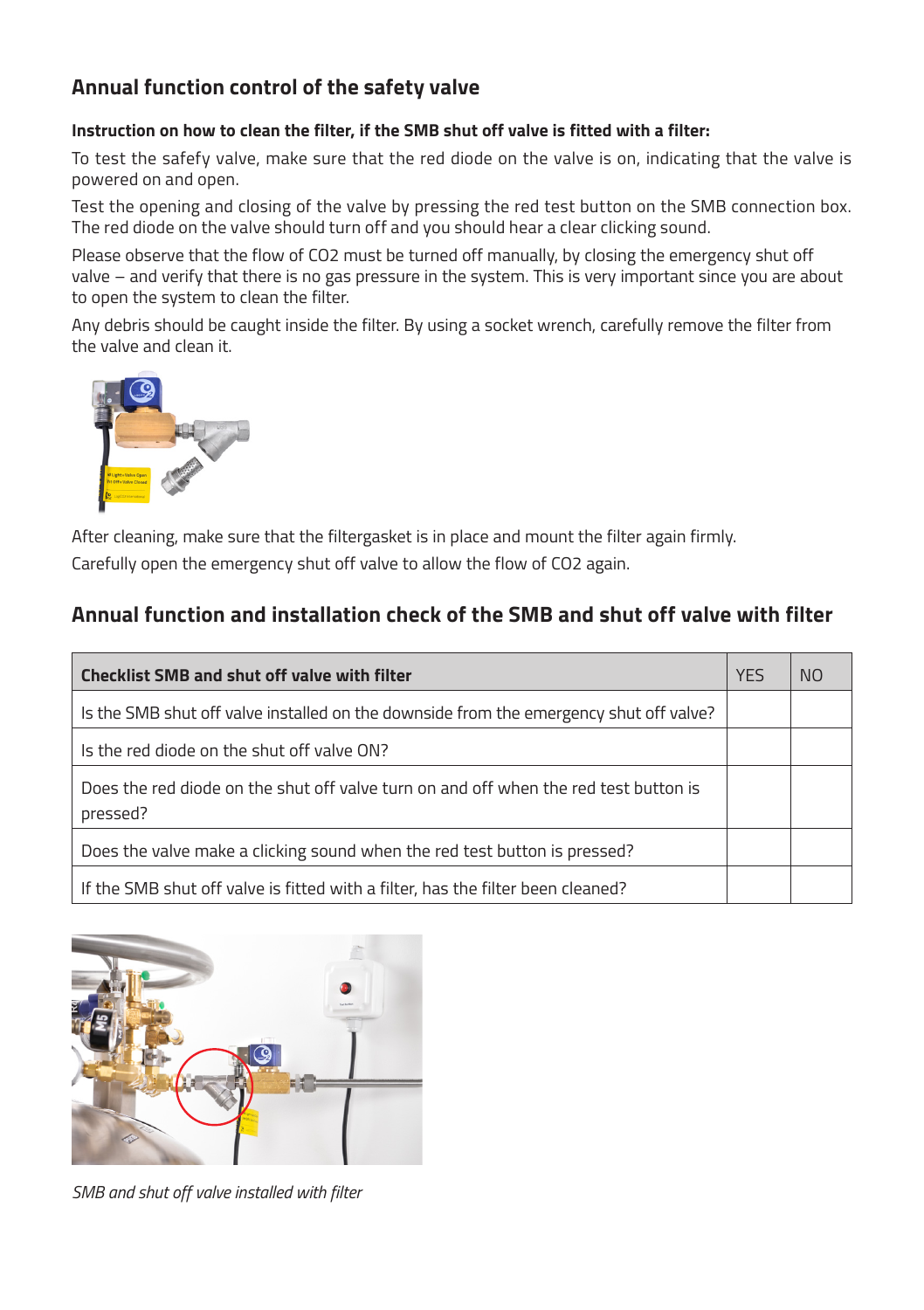## **Annual function control of the safety valve**

## **Instruction on how to clean the filter, if the SMB shut off valve is fitted with a filter:**

To test the safefy valve, make sure that the red diode on the valve is on, indicating that the valve is powered on and open.

Test the opening and closing of the valve by pressing the red test button on the SMB connection box. The red diode on the valve should turn off and you should hear a clear clicking sound.

Please observe that the flow of CO2 must be turned off manually, by closing the emergency shut off valve – and verify that there is no gas pressure in the system. This is very important since you are about to open the system to clean the filter.

Any debris should be caught inside the filter. By using a socket wrench, carefully remove the filter from the valve and clean it.



After cleaning, make sure that the filtergasket is in place and mount the filter again firmly. Carefully open the emergency shut off valve to allow the flow of CO2 again.

## **Annual function and installation check of the SMB and shut off valve with filter**

| Checklist SMB and shut off valve with filter                                                     | <b>YES</b> | NO. |
|--------------------------------------------------------------------------------------------------|------------|-----|
| Is the SMB shut off valve installed on the downside from the emergency shut off valve?           |            |     |
| Is the red diode on the shut off valve ON?                                                       |            |     |
| Does the red diode on the shut off valve turn on and off when the red test button is<br>pressed? |            |     |
| Does the valve make a clicking sound when the red test button is pressed?                        |            |     |
| If the SMB shut off valve is fitted with a filter, has the filter been cleaned?                  |            |     |



*SMB and shut off valve installed with filter*